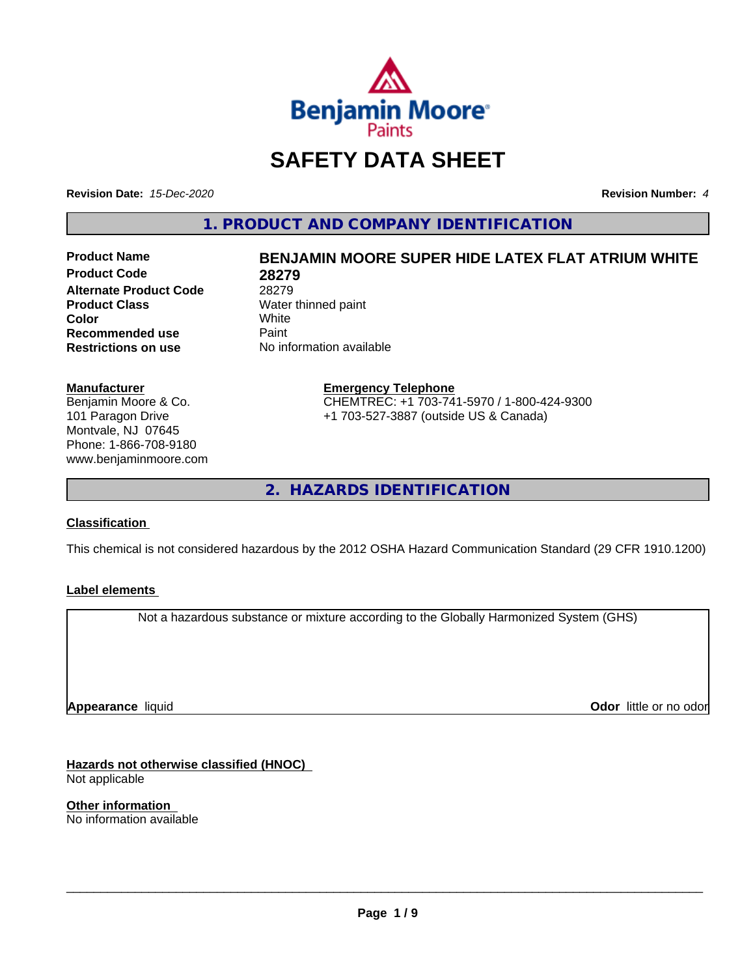

## **SAFETY DATA SHEET**

**Revision Date:** *15-Dec-2020* **Revision Number:** *4*

**1. PRODUCT AND COMPANY IDENTIFICATION**

**Product Code 28279 Alternate Product Code** 28279<br> **Product Class** Water **Color** White White **Recommended use** Paint<br> **Restrictions on use** No inf

# **Product Name BENJAMIN MOORE SUPER HIDE LATEX FLAT ATRIUM WHITE**

**Water thinned paint**<br>White **No information available** 

#### **Manufacturer**

Benjamin Moore & Co. 101 Paragon Drive Montvale, NJ 07645 Phone: 1-866-708-9180 www.benjaminmoore.com

#### **Emergency Telephone** CHEMTREC: +1 703-741-5970 / 1-800-424-9300 +1 703-527-3887 (outside US & Canada)

**2. HAZARDS IDENTIFICATION**

#### **Classification**

This chemical is not considered hazardous by the 2012 OSHA Hazard Communication Standard (29 CFR 1910.1200)

#### **Label elements**

Not a hazardous substance or mixture according to the Globally Harmonized System (GHS)

**Appearance** liquid

**Odor** little or no odor

**Hazards not otherwise classified (HNOC)** Not applicable

**Other information** No information available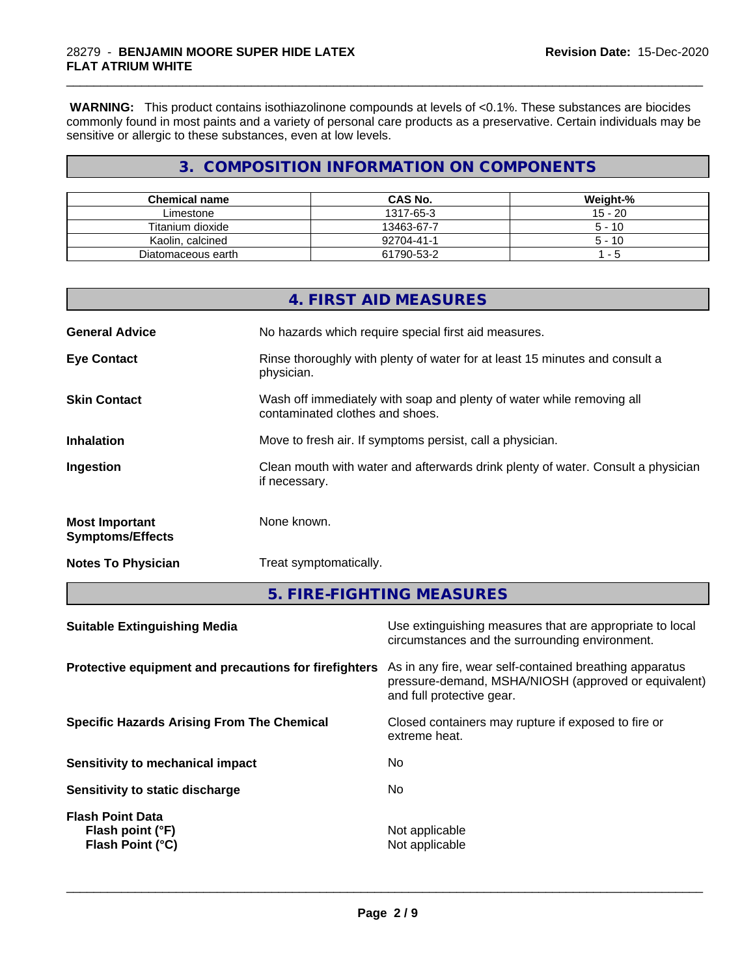**WARNING:** This product contains isothiazolinone compounds at levels of <0.1%. These substances are biocides commonly found in most paints and a variety of personal care products as a preservative. Certain individuals may be sensitive or allergic to these substances, even at low levels.

\_\_\_\_\_\_\_\_\_\_\_\_\_\_\_\_\_\_\_\_\_\_\_\_\_\_\_\_\_\_\_\_\_\_\_\_\_\_\_\_\_\_\_\_\_\_\_\_\_\_\_\_\_\_\_\_\_\_\_\_\_\_\_\_\_\_\_\_\_\_\_\_\_\_\_\_\_\_\_\_\_\_\_\_\_\_\_\_\_\_\_\_\_

#### **3. COMPOSITION INFORMATION ON COMPONENTS**

| <b>Chemical name</b> | <b>CAS No.</b> | Weight-%  |
|----------------------|----------------|-----------|
| Limestone            | 1317-65-3      | $15 - 20$ |
| Titanium dioxide     | 13463-67-7     | $5 - 10$  |
| Kaolin, calcined     | 92704-41-1     | $5 - 10$  |
| Diatomaceous earth   | 61790-53-2     | - 5       |

|                                                  | 4. FIRST AID MEASURES                                                                                    |
|--------------------------------------------------|----------------------------------------------------------------------------------------------------------|
| <b>General Advice</b>                            | No hazards which require special first aid measures.                                                     |
| <b>Eye Contact</b>                               | Rinse thoroughly with plenty of water for at least 15 minutes and consult a<br>physician.                |
| <b>Skin Contact</b>                              | Wash off immediately with soap and plenty of water while removing all<br>contaminated clothes and shoes. |
| <b>Inhalation</b>                                | Move to fresh air. If symptoms persist, call a physician.                                                |
| Ingestion                                        | Clean mouth with water and afterwards drink plenty of water. Consult a physician<br>if necessary.        |
| <b>Most Important</b><br><b>Symptoms/Effects</b> | None known.                                                                                              |
| <b>Notes To Physician</b>                        | Treat symptomatically.                                                                                   |

**5. FIRE-FIGHTING MEASURES**

| <b>Suitable Extinguishing Media</b>                             | Use extinguishing measures that are appropriate to local<br>circumstances and the surrounding environment.                                   |
|-----------------------------------------------------------------|----------------------------------------------------------------------------------------------------------------------------------------------|
| Protective equipment and precautions for firefighters           | As in any fire, wear self-contained breathing apparatus<br>pressure-demand, MSHA/NIOSH (approved or equivalent)<br>and full protective gear. |
| <b>Specific Hazards Arising From The Chemical</b>               | Closed containers may rupture if exposed to fire or<br>extreme heat.                                                                         |
| Sensitivity to mechanical impact                                | No                                                                                                                                           |
| Sensitivity to static discharge                                 | No                                                                                                                                           |
| <b>Flash Point Data</b><br>Flash point (°F)<br>Flash Point (°C) | Not applicable<br>Not applicable                                                                                                             |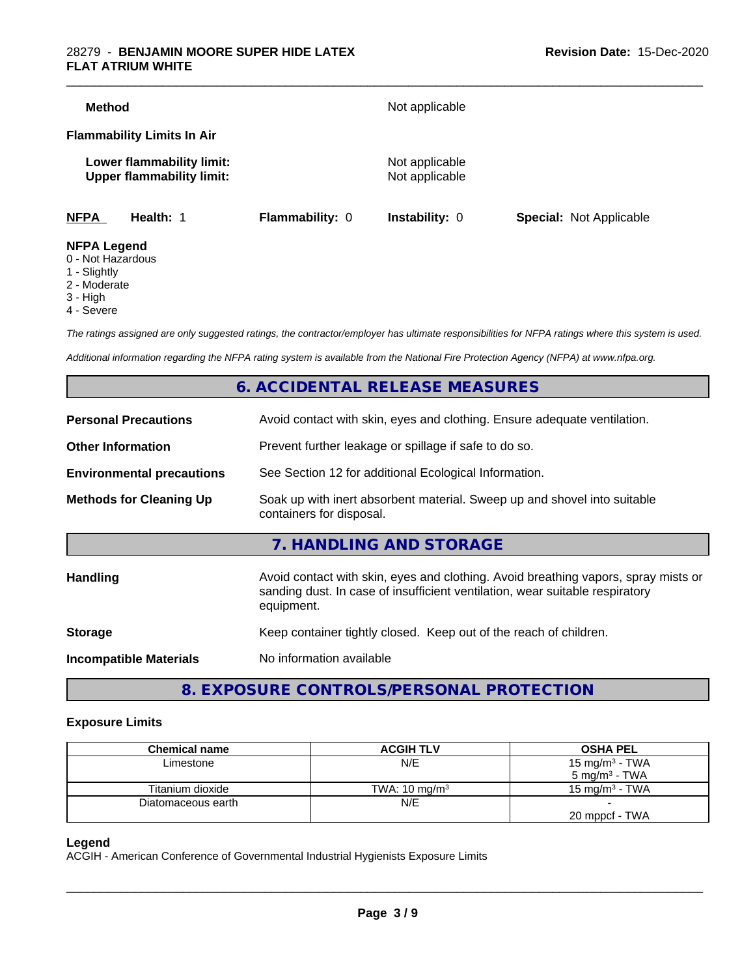| <b>Method</b>                           |                                                               |                        | Not applicable                   |                                |
|-----------------------------------------|---------------------------------------------------------------|------------------------|----------------------------------|--------------------------------|
|                                         | <b>Flammability Limits In Air</b>                             |                        |                                  |                                |
|                                         | Lower flammability limit:<br><b>Upper flammability limit:</b> |                        | Not applicable<br>Not applicable |                                |
| <b>NFPA</b>                             | Health: 1                                                     | <b>Flammability: 0</b> | <b>Instability: 0</b>            | <b>Special: Not Applicable</b> |
| <b>NFPA Legend</b><br>0 - Not Hazardous |                                                               |                        |                                  |                                |

- 1 Slightly
- 2 Moderate
- 3 High
- 
- 4 Severe

*The ratings assigned are only suggested ratings, the contractor/employer has ultimate responsibilities for NFPA ratings where this system is used.*

*Additional information regarding the NFPA rating system is available from the National Fire Protection Agency (NFPA) at www.nfpa.org.*

#### **6. ACCIDENTAL RELEASE MEASURES**

| <b>Personal Precautions</b>      | Avoid contact with skin, eyes and clothing. Ensure adequate ventilation.                                                                                                         |
|----------------------------------|----------------------------------------------------------------------------------------------------------------------------------------------------------------------------------|
| <b>Other Information</b>         | Prevent further leakage or spillage if safe to do so.                                                                                                                            |
| <b>Environmental precautions</b> | See Section 12 for additional Ecological Information.                                                                                                                            |
| <b>Methods for Cleaning Up</b>   | Soak up with inert absorbent material. Sweep up and shovel into suitable<br>containers for disposal.                                                                             |
|                                  | 7. HANDLING AND STORAGE                                                                                                                                                          |
| <b>Handling</b>                  | Avoid contact with skin, eyes and clothing. Avoid breathing vapors, spray mists or<br>sanding dust. In case of insufficient ventilation, wear suitable respiratory<br>equipment. |
| <b>Storage</b>                   | Keep container tightly closed. Keep out of the reach of children.                                                                                                                |
| <b>Incompatible Materials</b>    | No information available                                                                                                                                                         |
|                                  |                                                                                                                                                                                  |

**8. EXPOSURE CONTROLS/PERSONAL PROTECTION**

#### **Exposure Limits**

| <b>Chemical name</b> | <b>ACGIH TLV</b>         | <b>OSHA PEL</b>           |
|----------------------|--------------------------|---------------------------|
| Limestone            | N/E                      | 15 mg/m $3$ - TWA         |
|                      |                          | 5 mg/m <sup>3</sup> - TWA |
| Titanium dioxide     | TWA: $10 \text{ mg/m}^3$ | 15 mg/m $3$ - TWA         |
| Diatomaceous earth   | N/E                      |                           |
|                      |                          | 20 mppcf - TWA            |

#### **Legend**

ACGIH - American Conference of Governmental Industrial Hygienists Exposure Limits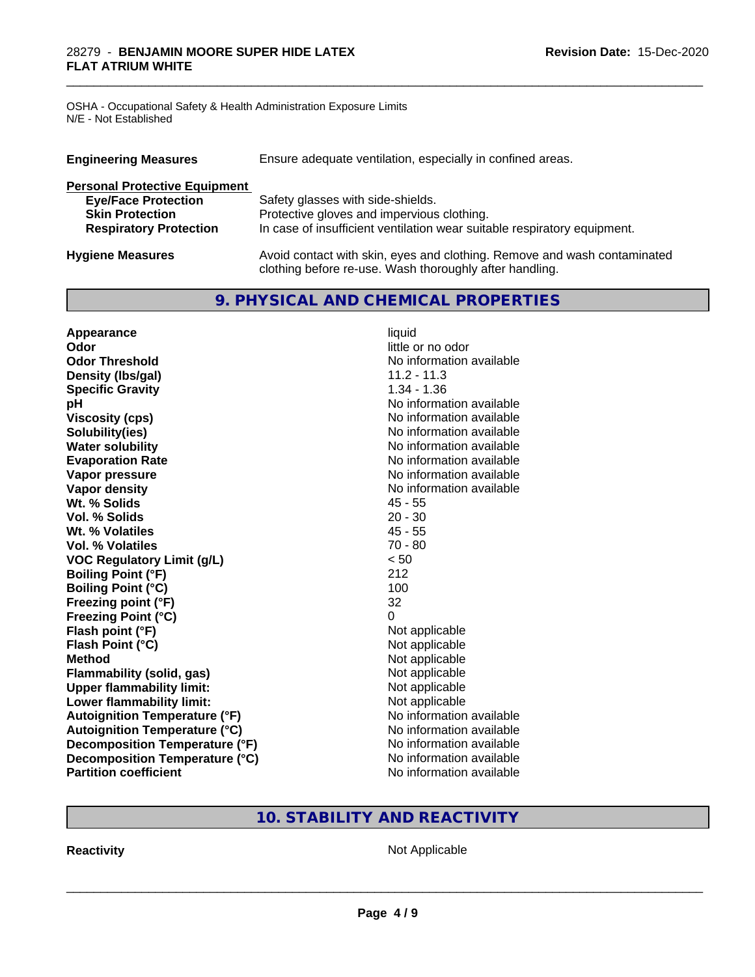OSHA - Occupational Safety & Health Administration Exposure Limits N/E - Not Established

| Ensure adequate ventilation, especially in confined areas.<br><b>Engineering Measures</b> |                                                                                                                                     |  |  |
|-------------------------------------------------------------------------------------------|-------------------------------------------------------------------------------------------------------------------------------------|--|--|
| <b>Personal Protective Equipment</b>                                                      |                                                                                                                                     |  |  |
| <b>Eye/Face Protection</b>                                                                | Safety glasses with side-shields.                                                                                                   |  |  |
| <b>Skin Protection</b>                                                                    | Protective gloves and impervious clothing.                                                                                          |  |  |
| <b>Respiratory Protection</b>                                                             | In case of insufficient ventilation wear suitable respiratory equipment.                                                            |  |  |
| <b>Hygiene Measures</b>                                                                   | Avoid contact with skin, eyes and clothing. Remove and wash contaminated<br>clothing before re-use. Wash thoroughly after handling. |  |  |

\_\_\_\_\_\_\_\_\_\_\_\_\_\_\_\_\_\_\_\_\_\_\_\_\_\_\_\_\_\_\_\_\_\_\_\_\_\_\_\_\_\_\_\_\_\_\_\_\_\_\_\_\_\_\_\_\_\_\_\_\_\_\_\_\_\_\_\_\_\_\_\_\_\_\_\_\_\_\_\_\_\_\_\_\_\_\_\_\_\_\_\_\_

#### **9. PHYSICAL AND CHEMICAL PROPERTIES**

| Appearance                           | liquid                   |
|--------------------------------------|--------------------------|
| Odor                                 | little or no odor        |
| <b>Odor Threshold</b>                | No information available |
| Density (Ibs/gal)                    | $11.2 - 11.3$            |
| <b>Specific Gravity</b>              | $1.34 - 1.36$            |
| pH                                   | No information available |
| <b>Viscosity (cps)</b>               | No information available |
| Solubility(ies)                      | No information available |
| <b>Water solubility</b>              | No information available |
| <b>Evaporation Rate</b>              | No information available |
| Vapor pressure                       | No information available |
| <b>Vapor density</b>                 | No information available |
| Wt. % Solids                         | $45 - 55$                |
| Vol. % Solids                        | $20 - 30$                |
| Wt. % Volatiles                      | $45 - 55$                |
| <b>Vol. % Volatiles</b>              | $70 - 80$                |
| <b>VOC Regulatory Limit (g/L)</b>    | < 50                     |
| <b>Boiling Point (°F)</b>            | 212                      |
| <b>Boiling Point (°C)</b>            | 100                      |
| Freezing point (°F)                  | 32                       |
| <b>Freezing Point (°C)</b>           | $\Omega$                 |
| Flash point (°F)                     | Not applicable           |
| Flash Point (°C)                     | Not applicable           |
| <b>Method</b>                        | Not applicable           |
| Flammability (solid, gas)            | Not applicable           |
| <b>Upper flammability limit:</b>     | Not applicable           |
| Lower flammability limit:            | Not applicable           |
| <b>Autoignition Temperature (°F)</b> | No information available |
| <b>Autoignition Temperature (°C)</b> | No information available |
| Decomposition Temperature (°F)       | No information available |
| Decomposition Temperature (°C)       | No information available |
| <b>Partition coefficient</b>         | No information available |

## **10. STABILITY AND REACTIVITY**

**Reactivity Not Applicable** Not Applicable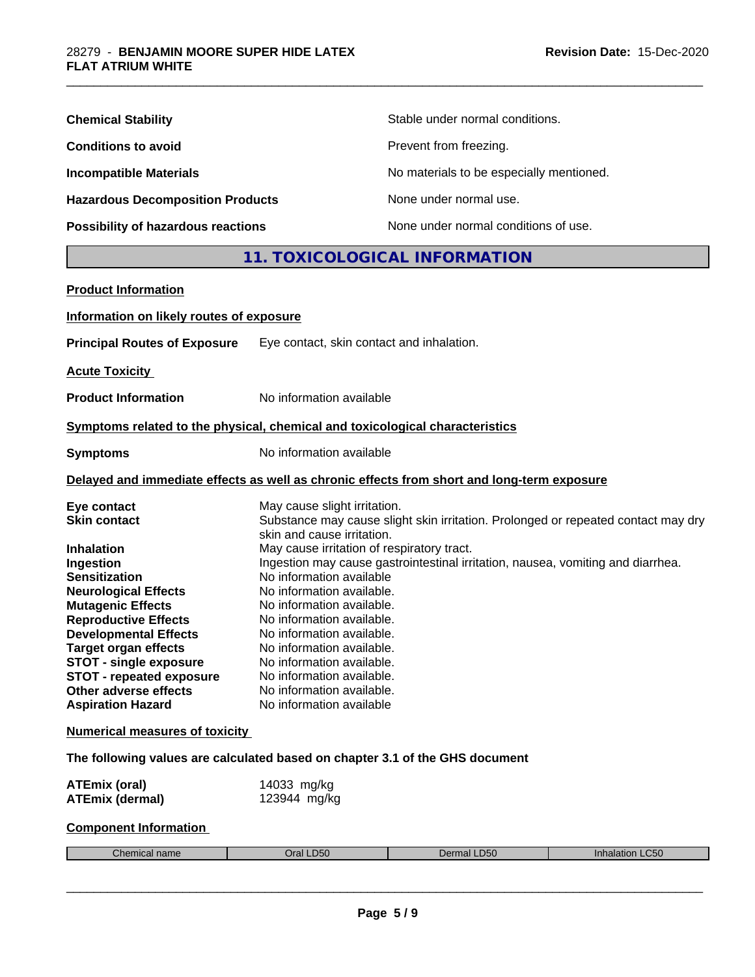| <b>Chemical Stability</b>               | Stable under normal conditions.          |
|-----------------------------------------|------------------------------------------|
| <b>Conditions to avoid</b>              | Prevent from freezing.                   |
| <b>Incompatible Materials</b>           | No materials to be especially mentioned. |
| <b>Hazardous Decomposition Products</b> | None under normal use.                   |
| Possibility of hazardous reactions      | None under normal conditions of use.     |

### **11. TOXICOLOGICAL INFORMATION**

\_\_\_\_\_\_\_\_\_\_\_\_\_\_\_\_\_\_\_\_\_\_\_\_\_\_\_\_\_\_\_\_\_\_\_\_\_\_\_\_\_\_\_\_\_\_\_\_\_\_\_\_\_\_\_\_\_\_\_\_\_\_\_\_\_\_\_\_\_\_\_\_\_\_\_\_\_\_\_\_\_\_\_\_\_\_\_\_\_\_\_\_\_

| <b>Product Information</b>                                                                                                                                                                                                                                                                                                                                                     |                                                                                                                                                                                                                                                                                                                                                                                                                                                                                                                                                                                  |  |  |
|--------------------------------------------------------------------------------------------------------------------------------------------------------------------------------------------------------------------------------------------------------------------------------------------------------------------------------------------------------------------------------|----------------------------------------------------------------------------------------------------------------------------------------------------------------------------------------------------------------------------------------------------------------------------------------------------------------------------------------------------------------------------------------------------------------------------------------------------------------------------------------------------------------------------------------------------------------------------------|--|--|
| Information on likely routes of exposure                                                                                                                                                                                                                                                                                                                                       |                                                                                                                                                                                                                                                                                                                                                                                                                                                                                                                                                                                  |  |  |
| <b>Principal Routes of Exposure</b>                                                                                                                                                                                                                                                                                                                                            | Eye contact, skin contact and inhalation.                                                                                                                                                                                                                                                                                                                                                                                                                                                                                                                                        |  |  |
| <b>Acute Toxicity</b>                                                                                                                                                                                                                                                                                                                                                          |                                                                                                                                                                                                                                                                                                                                                                                                                                                                                                                                                                                  |  |  |
| <b>Product Information</b>                                                                                                                                                                                                                                                                                                                                                     | No information available                                                                                                                                                                                                                                                                                                                                                                                                                                                                                                                                                         |  |  |
|                                                                                                                                                                                                                                                                                                                                                                                | Symptoms related to the physical, chemical and toxicological characteristics                                                                                                                                                                                                                                                                                                                                                                                                                                                                                                     |  |  |
| <b>Symptoms</b>                                                                                                                                                                                                                                                                                                                                                                | No information available                                                                                                                                                                                                                                                                                                                                                                                                                                                                                                                                                         |  |  |
|                                                                                                                                                                                                                                                                                                                                                                                | Delayed and immediate effects as well as chronic effects from short and long-term exposure                                                                                                                                                                                                                                                                                                                                                                                                                                                                                       |  |  |
| Eye contact<br><b>Skin contact</b><br><b>Inhalation</b><br>Ingestion<br><b>Sensitization</b><br><b>Neurological Effects</b><br><b>Mutagenic Effects</b><br><b>Reproductive Effects</b><br><b>Developmental Effects</b><br><b>Target organ effects</b><br><b>STOT - single exposure</b><br><b>STOT - repeated exposure</b><br>Other adverse effects<br><b>Aspiration Hazard</b> | May cause slight irritation.<br>Substance may cause slight skin irritation. Prolonged or repeated contact may dry<br>skin and cause irritation.<br>May cause irritation of respiratory tract.<br>Ingestion may cause gastrointestinal irritation, nausea, vomiting and diarrhea.<br>No information available<br>No information available.<br>No information available.<br>No information available.<br>No information available.<br>No information available.<br>No information available.<br>No information available.<br>No information available.<br>No information available |  |  |
| <b>Numerical measures of toxicity</b>                                                                                                                                                                                                                                                                                                                                          |                                                                                                                                                                                                                                                                                                                                                                                                                                                                                                                                                                                  |  |  |
| The following values are calculated based on chapter 3.1 of the GHS document                                                                                                                                                                                                                                                                                                   |                                                                                                                                                                                                                                                                                                                                                                                                                                                                                                                                                                                  |  |  |
| <b>ATEmix (oral)</b><br><b>ATEmix (dermal)</b>                                                                                                                                                                                                                                                                                                                                 | 14033 mg/kg<br>123944 mg/kg                                                                                                                                                                                                                                                                                                                                                                                                                                                                                                                                                      |  |  |

#### **Component Information**

| $\sim$<br>:hemical<br>l name | <b>D50</b><br>$ r_{2} $ | $D^{\prime}$<br>DSU | C50<br>innaiai<br>. |
|------------------------------|-------------------------|---------------------|---------------------|
|                              |                         |                     |                     |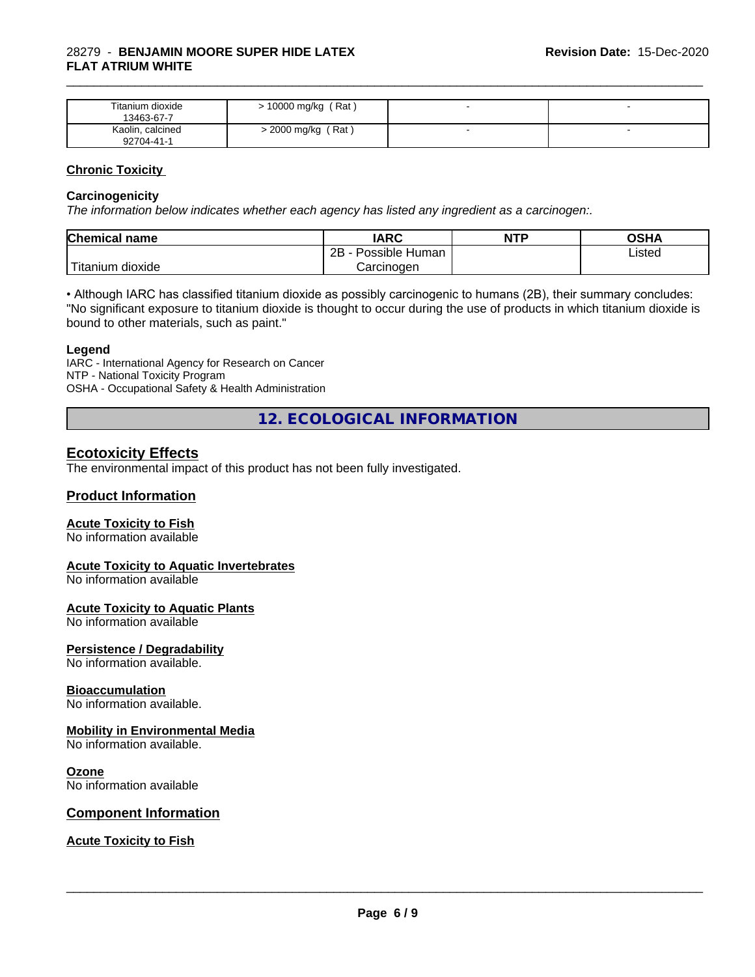#### 28279 - **BENJAMIN MOORE SUPER HIDE LATEX FLAT ATRIUM WHITE**

| Titanium dioxide<br>13463-67-7 | (Rat)<br>10000 mg/kg | - |  |
|--------------------------------|----------------------|---|--|
| Kaolin, calcined<br>92704-41-1 | > 2000 mg/kg (Rat)   |   |  |

\_\_\_\_\_\_\_\_\_\_\_\_\_\_\_\_\_\_\_\_\_\_\_\_\_\_\_\_\_\_\_\_\_\_\_\_\_\_\_\_\_\_\_\_\_\_\_\_\_\_\_\_\_\_\_\_\_\_\_\_\_\_\_\_\_\_\_\_\_\_\_\_\_\_\_\_\_\_\_\_\_\_\_\_\_\_\_\_\_\_\_\_\_

#### **Chronic Toxicity**

#### **Carcinogenicity**

*The information below indicateswhether each agency has listed any ingredient as a carcinogen:.*

| <b>Chemical name</b>             | <b>IARC</b>          | <b>NTP</b> | OSHA   |
|----------------------------------|----------------------|------------|--------|
|                                  | Possible Human<br>2B |            | Listed |
| $\mathbf{r}$<br>Fitanium dioxide | Carcinogen           |            |        |

• Although IARC has classified titanium dioxide as possibly carcinogenic to humans (2B), their summary concludes: "No significant exposure to titanium dioxide is thought to occur during the use of products in which titanium dioxide is bound to other materials, such as paint."

#### **Legend**

IARC - International Agency for Research on Cancer NTP - National Toxicity Program OSHA - Occupational Safety & Health Administration

**12. ECOLOGICAL INFORMATION**

#### **Ecotoxicity Effects**

The environmental impact of this product has not been fully investigated.

#### **Product Information**

#### **Acute Toxicity to Fish**

No information available

#### **Acute Toxicity to Aquatic Invertebrates**

No information available

#### **Acute Toxicity to Aquatic Plants**

No information available

#### **Persistence / Degradability**

No information available.

#### **Bioaccumulation**

No information available.

#### **Mobility in Environmental Media**

No information available.

#### **Ozone**

No information available

#### **Component Information**

#### **Acute Toxicity to Fish**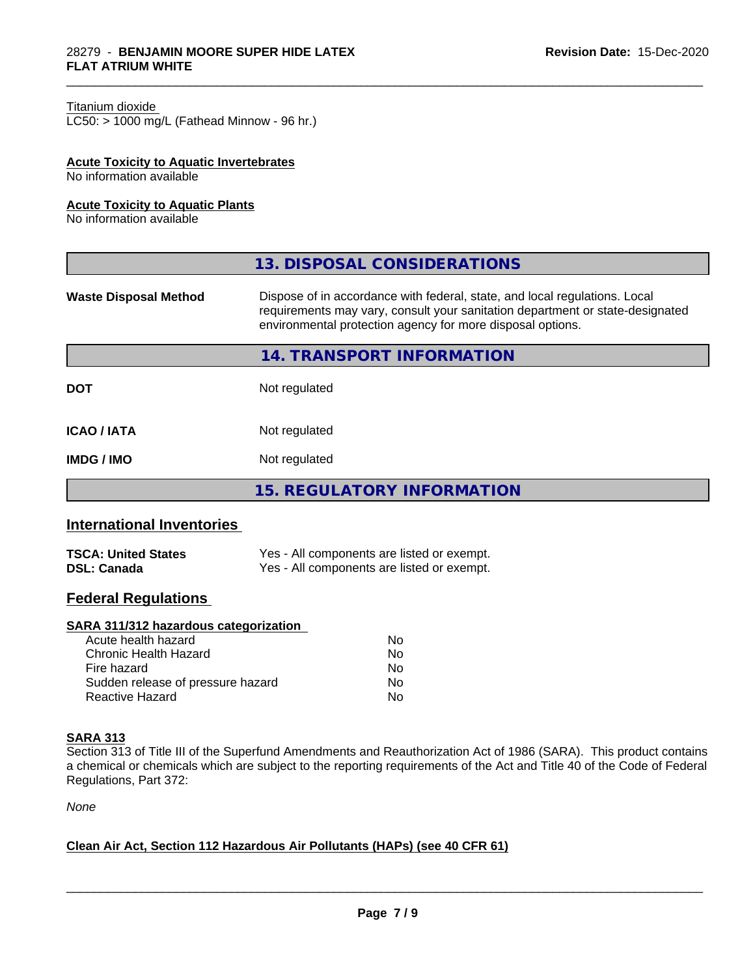#### Titanium dioxide

 $LC50:$  > 1000 mg/L (Fathead Minnow - 96 hr.)

#### **Acute Toxicity to Aquatic Invertebrates**

No information available

#### **Acute Toxicity to Aquatic Plants**

No information available

| Dispose of in accordance with federal, state, and local regulations. Local<br><b>Waste Disposal Method</b><br>requirements may vary, consult your sanitation department or state-designated<br>environmental protection agency for more disposal options. |
|-----------------------------------------------------------------------------------------------------------------------------------------------------------------------------------------------------------------------------------------------------------|
|                                                                                                                                                                                                                                                           |
| <b>14. TRANSPORT INFORMATION</b>                                                                                                                                                                                                                          |
| Not regulated<br><b>DOT</b>                                                                                                                                                                                                                               |
| <b>ICAO / IATA</b><br>Not regulated                                                                                                                                                                                                                       |
| Not regulated<br><b>IMDG / IMO</b>                                                                                                                                                                                                                        |
| <b>15. REGULATORY INFORMATION</b>                                                                                                                                                                                                                         |

\_\_\_\_\_\_\_\_\_\_\_\_\_\_\_\_\_\_\_\_\_\_\_\_\_\_\_\_\_\_\_\_\_\_\_\_\_\_\_\_\_\_\_\_\_\_\_\_\_\_\_\_\_\_\_\_\_\_\_\_\_\_\_\_\_\_\_\_\_\_\_\_\_\_\_\_\_\_\_\_\_\_\_\_\_\_\_\_\_\_\_\_\_

#### **International Inventories**

| <b>TSCA: United States</b> | Yes - All components are listed or exempt. |
|----------------------------|--------------------------------------------|
| <b>DSL: Canada</b>         | Yes - All components are listed or exempt. |

### **Federal Regulations**

#### **SARA 311/312 hazardous categorization**

| Acute health hazard               | Nο |
|-----------------------------------|----|
| Chronic Health Hazard             | Nο |
| Fire hazard                       | N٥ |
| Sudden release of pressure hazard | Nο |
| Reactive Hazard                   | Nο |

#### **SARA 313**

Section 313 of Title III of the Superfund Amendments and Reauthorization Act of 1986 (SARA). This product contains a chemical or chemicals which are subject to the reporting requirements of the Act and Title 40 of the Code of Federal Regulations, Part 372:

*None*

#### **Clean Air Act,Section 112 Hazardous Air Pollutants (HAPs) (see 40 CFR 61)**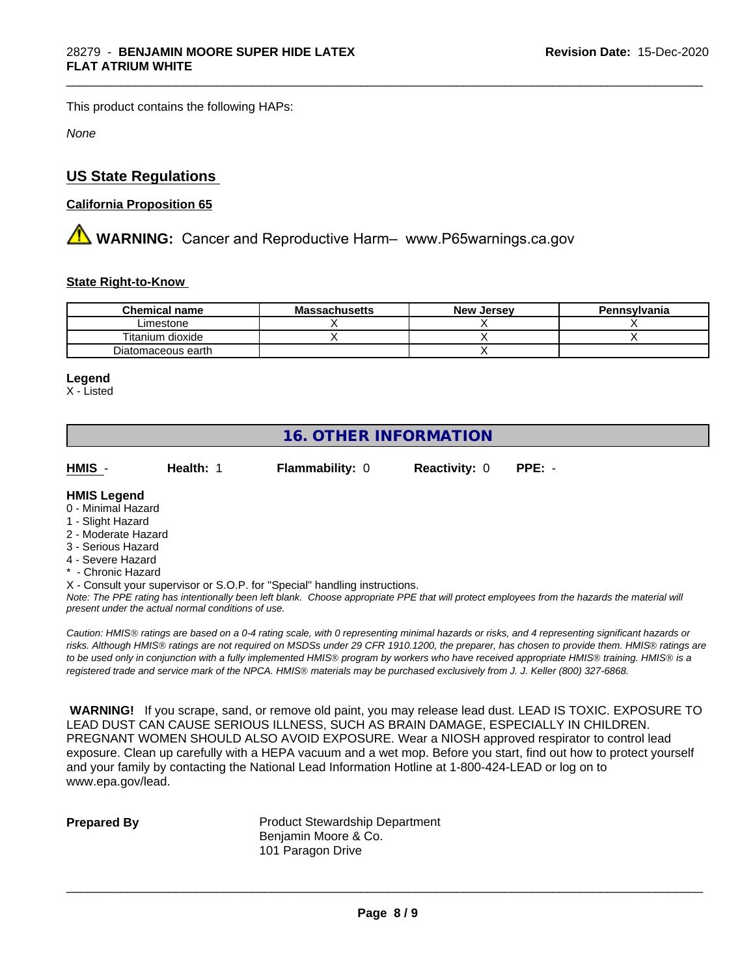This product contains the following HAPs:

*None*

#### **US State Regulations**

#### **California Proposition 65**

**A** WARNING: Cancer and Reproductive Harm– www.P65warnings.ca.gov

#### **State Right-to-Know**

| <b>Chemical name</b> | <b>Massachusetts</b> | <b>New Jersey</b> | Pennsylvania |
|----------------------|----------------------|-------------------|--------------|
| Limestone            |                      |                   |              |
| Titanium dioxide     |                      |                   |              |
| Diatomaceous earth   |                      |                   |              |

#### **Legend**

X - Listed

### **16. OTHER INFORMATION**

**HMIS** - **Health:** 1 **Flammability:** 0 **Reactivity:** 0 **PPE:** -

\_\_\_\_\_\_\_\_\_\_\_\_\_\_\_\_\_\_\_\_\_\_\_\_\_\_\_\_\_\_\_\_\_\_\_\_\_\_\_\_\_\_\_\_\_\_\_\_\_\_\_\_\_\_\_\_\_\_\_\_\_\_\_\_\_\_\_\_\_\_\_\_\_\_\_\_\_\_\_\_\_\_\_\_\_\_\_\_\_\_\_\_\_

#### **HMIS Legend**

- 0 Minimal Hazard
- 1 Slight Hazard
- 2 Moderate Hazard
- 3 Serious Hazard
- 4 Severe Hazard
- \* Chronic Hazard
- X Consult your supervisor or S.O.P. for "Special" handling instructions.

*Note: The PPE rating has intentionally been left blank. Choose appropriate PPE that will protect employees from the hazards the material will present under the actual normal conditions of use.*

*Caution: HMISÒ ratings are based on a 0-4 rating scale, with 0 representing minimal hazards or risks, and 4 representing significant hazards or risks. Although HMISÒ ratings are not required on MSDSs under 29 CFR 1910.1200, the preparer, has chosen to provide them. HMISÒ ratings are to be used only in conjunction with a fully implemented HMISÒ program by workers who have received appropriate HMISÒ training. HMISÒ is a registered trade and service mark of the NPCA. HMISÒ materials may be purchased exclusively from J. J. Keller (800) 327-6868.*

 **WARNING!** If you scrape, sand, or remove old paint, you may release lead dust. LEAD IS TOXIC. EXPOSURE TO LEAD DUST CAN CAUSE SERIOUS ILLNESS, SUCH AS BRAIN DAMAGE, ESPECIALLY IN CHILDREN. PREGNANT WOMEN SHOULD ALSO AVOID EXPOSURE.Wear a NIOSH approved respirator to control lead exposure. Clean up carefully with a HEPA vacuum and a wet mop. Before you start, find out how to protect yourself and your family by contacting the National Lead Information Hotline at 1-800-424-LEAD or log on to www.epa.gov/lead.

**Prepared By** Product Stewardship Department Benjamin Moore & Co. 101 Paragon Drive